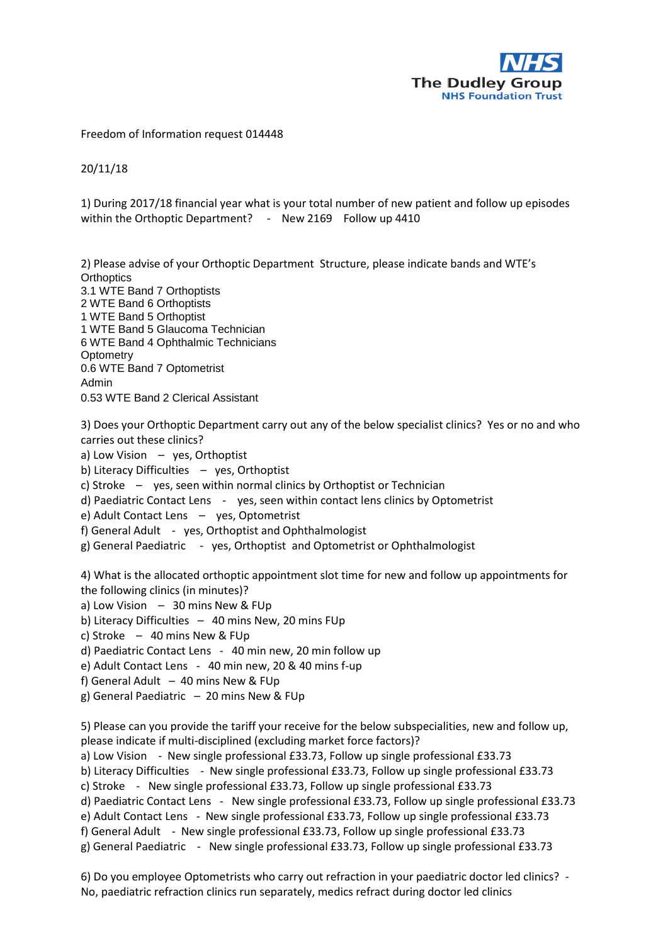

## Freedom of Information request 014448

20/11/18

1) During 2017/18 financial year what is your total number of new patient and follow up episodes within the Orthoptic Department? - New 2169 Follow up 4410

2) Please advise of your Orthoptic Department Structure, please indicate bands and WTE's **Orthoptics** 3.1 WTE Band 7 Orthoptists 2 WTE Band 6 Orthoptists 1 WTE Band 5 Orthoptist 1 WTE Band 5 Glaucoma Technician 6 WTE Band 4 Ophthalmic Technicians **Optometry** 0.6 WTE Band 7 Optometrist Admin

0.53 WTE Band 2 Clerical Assistant

3) Does your Orthoptic Department carry out any of the below specialist clinics? Yes or no and who carries out these clinics?

a) Low Vision – yes, Orthoptist

b) Literacy Difficulties – yes, Orthoptist

c) Stroke – yes, seen within normal clinics by Orthoptist or Technician

d) Paediatric Contact Lens - yes, seen within contact lens clinics by Optometrist

e) Adult Contact Lens – yes, Optometrist

- f) General Adult yes, Orthoptist and Ophthalmologist
- g) General Paediatric yes, Orthoptist and Optometrist or Ophthalmologist

4) What is the allocated orthoptic appointment slot time for new and follow up appointments for the following clinics (in minutes)?

a) Low Vision  $-30$  mins New & FUp

b) Literacy Difficulties – 40 mins New, 20 mins FUp

c) Stroke – 40 mins New & FUp

d) Paediatric Contact Lens - 40 min new, 20 min follow up

e) Adult Contact Lens - 40 min new, 20 & 40 mins f-up

- f) General Adult  $-40$  mins New & FUp
- g) General Paediatric 20 mins New & FUp

5) Please can you provide the tariff your receive for the below subspecialities, new and follow up, please indicate if multi-disciplined (excluding market force factors)?

a) Low Vision - New single professional £33.73, Follow up single professional £33.73

b) Literacy Difficulties - New single professional £33.73, Follow up single professional £33.73

c) Stroke - New single professional £33.73, Follow up single professional £33.73

d) Paediatric Contact Lens - New single professional £33.73, Follow up single professional £33.73

e) Adult Contact Lens - New single professional £33.73, Follow up single professional £33.73

f) General Adult - New single professional £33.73, Follow up single professional £33.73

g) General Paediatric - New single professional £33.73, Follow up single professional £33.73

6) Do you employee Optometrists who carry out refraction in your paediatric doctor led clinics? - No, paediatric refraction clinics run separately, medics refract during doctor led clinics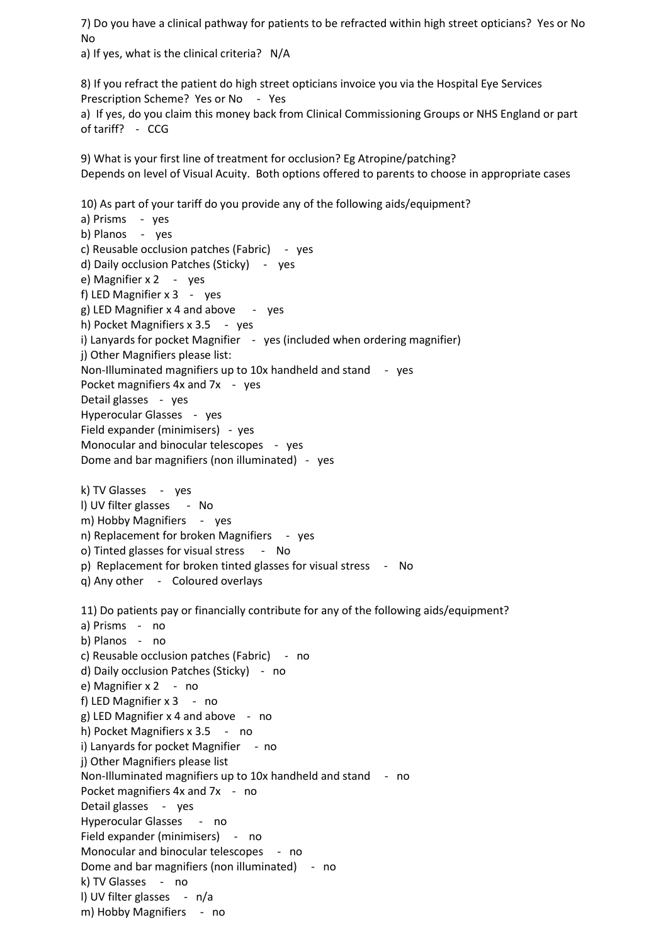7) Do you have a clinical pathway for patients to be refracted within high street opticians? Yes or No No

a) If yes, what is the clinical criteria? N/A

8) If you refract the patient do high street opticians invoice you via the Hospital Eye Services Prescription Scheme? Yes or No - Yes a) If yes, do you claim this money back from Clinical Commissioning Groups or NHS England or part of tariff? - CCG

9) What is your first line of treatment for occlusion? Eg Atropine/patching? Depends on level of Visual Acuity. Both options offered to parents to choose in appropriate cases

10) As part of your tariff do you provide any of the following aids/equipment? a) Prisms - yes b) Planos - yes c) Reusable occlusion patches (Fabric) - yes d) Daily occlusion Patches (Sticky) - yes e) Magnifier x 2 - yes f) LED Magnifier x 3 - yes g) LED Magnifier  $x$  4 and above  $-$  yes h) Pocket Magnifiers x 3.5 - yes i) Lanyards for pocket Magnifier - yes (included when ordering magnifier) j) Other Magnifiers please list: Non-Illuminated magnifiers up to 10x handheld and stand - yes Pocket magnifiers 4x and 7x - yes Detail glasses - yes Hyperocular Glasses - yes Field expander (minimisers) - yes Monocular and binocular telescopes - yes Dome and bar magnifiers (non illuminated) - yes k) TV Glasses - yes l) UV filter glasses - No m) Hobby Magnifiers - yes n) Replacement for broken Magnifiers - yes o) Tinted glasses for visual stress - No p) Replacement for broken tinted glasses for visual stress - No q) Any other - Coloured overlays 11) Do patients pay or financially contribute for any of the following aids/equipment? a) Prisms - no b) Planos - no c) Reusable occlusion patches (Fabric) - no d) Daily occlusion Patches (Sticky) - no e) Magnifier x 2 - no f) LED Magnifier  $x$  3 - no g) LED Magnifier x 4 and above - no h) Pocket Magnifiers x 3.5 - no i) Lanyards for pocket Magnifier - no j) Other Magnifiers please list Non-Illuminated magnifiers up to 10x handheld and stand - no Pocket magnifiers 4x and 7x - no Detail glasses - yes Hyperocular Glasses - no Field expander (minimisers) - no Monocular and binocular telescopes - no Dome and bar magnifiers (non illuminated) - no k) TV Glasses - no l) UV filter glasses - n/a m) Hobby Magnifiers - no